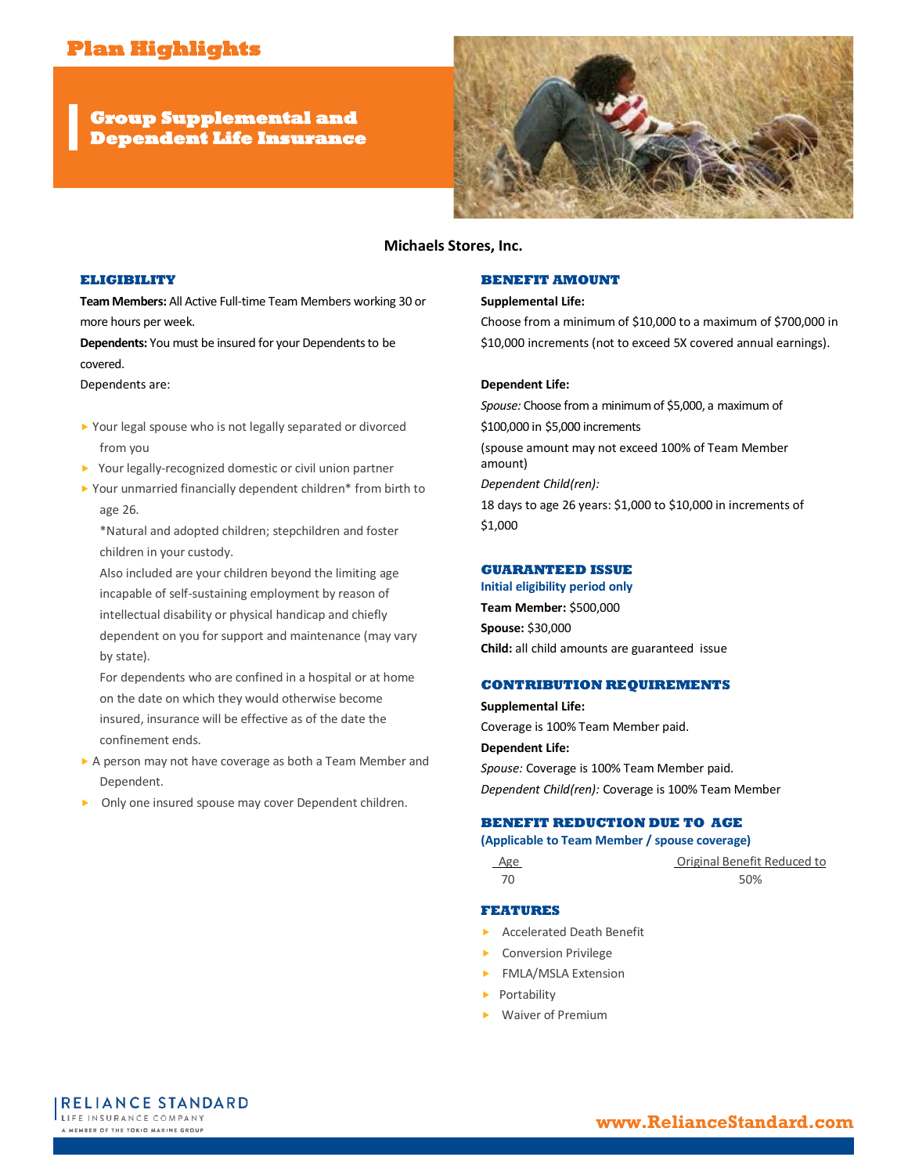# **Plan Highlights**

**Group Supplemental and Dependent Life Insurance** 



# **Michaels Stores, Inc.**

## **ELIGIBILITY**

**Team Members:** All Active Full-time Team Members working 30 or more hours per week.

**Dependents:** You must be insured for your Dependents to be covered.

Dependents are:

- ▶ Your legal spouse who is not legally separated or divorced from you
- ▶ Your legally-recognized domestic or civil union partner
- Your unmarried financially dependent children\* from birth to age 26.

\*Natural and adopted children; stepchildren and foster children in your custody.

Also included are your children beyond the limiting age incapable of self-sustaining employment by reason of intellectual disability or physical handicap and chiefly dependent on you for support and maintenance (may vary by state).

For dependents who are confined in a hospital or at home on the date on which they would otherwise become insured, insurance will be effective as of the date the confinement ends.

- A person may not have coverage as both a Team Member and Dependent.
- Only one insured spouse may cover Dependent children.

## **BENEFIT AMOUNT**

## **Supplemental Life:**

Choose from a minimum of \$10,000 to a maximum of \$700,000 in \$10,000 increments (not to exceed 5X covered annual earnings).

#### **Dependent Life:**

*Spouse:* Choose from a minimum of \$5,000, a maximum of \$100,000 in \$5,000 increments (spouse amount may not exceed 100% of Team Member amount) *Dependent Child(ren):* 18 days to age 26 years: \$1,000 to \$10,000 in increments of \$1,000

#### **GUARANTEED ISSUE**

**Initial eligibility period only Team Member:** \$500,000 **Spouse:** \$30,000

**Child:** all child amounts are guaranteed issue

## **CONTRIBUTION REQUIREMENTS**

**Supplemental Life:** Coverage is 100% Team Member paid. **Dependent Life:**

*Spouse:* Coverage is 100% Team Member paid. *Dependent Child(ren):* Coverage is 100% Team Member

# **BENEFIT REDUCTION DUE TO AGE**

#### **(Applicable to Team Member / spouse coverage)**

Age **Original Benefit Reduced to** 70 50%

#### **FEATURES**

- ▶ Accelerated Death Benefit
- Conversion Privilege
- FMLA/MSLA Extension
- **Portability**
- Waiver of Premium